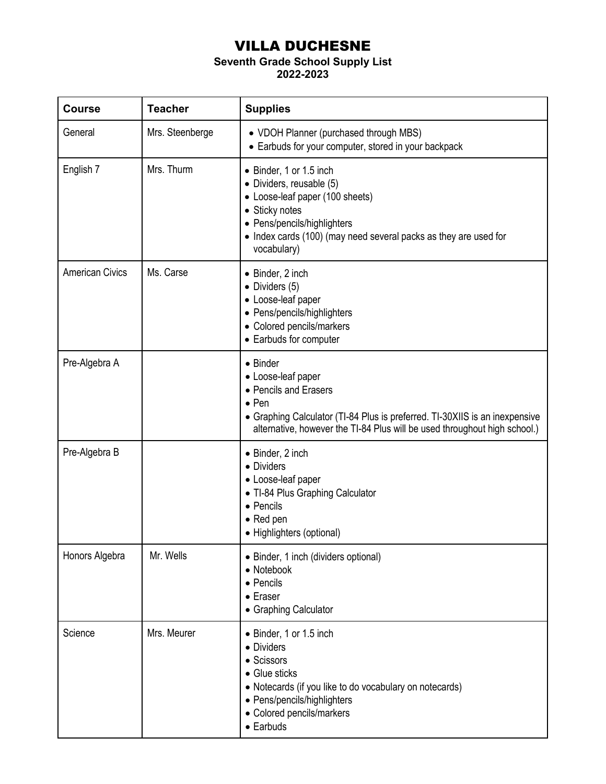## VILLA DUCHESNE

## **Seventh Grade School Supply List**

## **2022-2023**

| <b>Course</b>          | <b>Teacher</b>  | <b>Supplies</b>                                                                                                                                                                                                                      |
|------------------------|-----------------|--------------------------------------------------------------------------------------------------------------------------------------------------------------------------------------------------------------------------------------|
| General                | Mrs. Steenberge | • VDOH Planner (purchased through MBS)<br>• Earbuds for your computer, stored in your backpack                                                                                                                                       |
| English 7              | Mrs. Thurm      | • Binder, 1 or 1.5 inch<br>• Dividers, reusable (5)<br>• Loose-leaf paper (100 sheets)<br>• Sticky notes<br>• Pens/pencils/highlighters<br>• Index cards (100) (may need several packs as they are used for<br>vocabulary)           |
| <b>American Civics</b> | Ms. Carse       | • Binder, 2 inch<br>$\bullet$ Dividers (5)<br>• Loose-leaf paper<br>• Pens/pencils/highlighters<br>• Colored pencils/markers<br>• Earbuds for computer                                                                               |
| Pre-Algebra A          |                 | • Binder<br>• Loose-leaf paper<br>• Pencils and Erasers<br>$\bullet$ Pen<br>• Graphing Calculator (TI-84 Plus is preferred. TI-30XIIS is an inexpensive<br>alternative, however the TI-84 Plus will be used throughout high school.) |
| Pre-Algebra B          |                 | • Binder, 2 inch<br>• Dividers<br>• Loose-leaf paper<br>• TI-84 Plus Graphing Calculator<br>• Pencils<br>• Red pen<br>• Highlighters (optional)                                                                                      |
| Honors Algebra         | Mr. Wells       | • Binder, 1 inch (dividers optional)<br>• Notebook<br>• Pencils<br>• Eraser<br>• Graphing Calculator                                                                                                                                 |
| Science                | Mrs. Meurer     | • Binder, 1 or 1.5 inch<br>• Dividers<br>• Scissors<br>• Glue sticks<br>• Notecards (if you like to do vocabulary on notecards)<br>• Pens/pencils/highlighters<br>• Colored pencils/markers<br>• Earbuds                             |